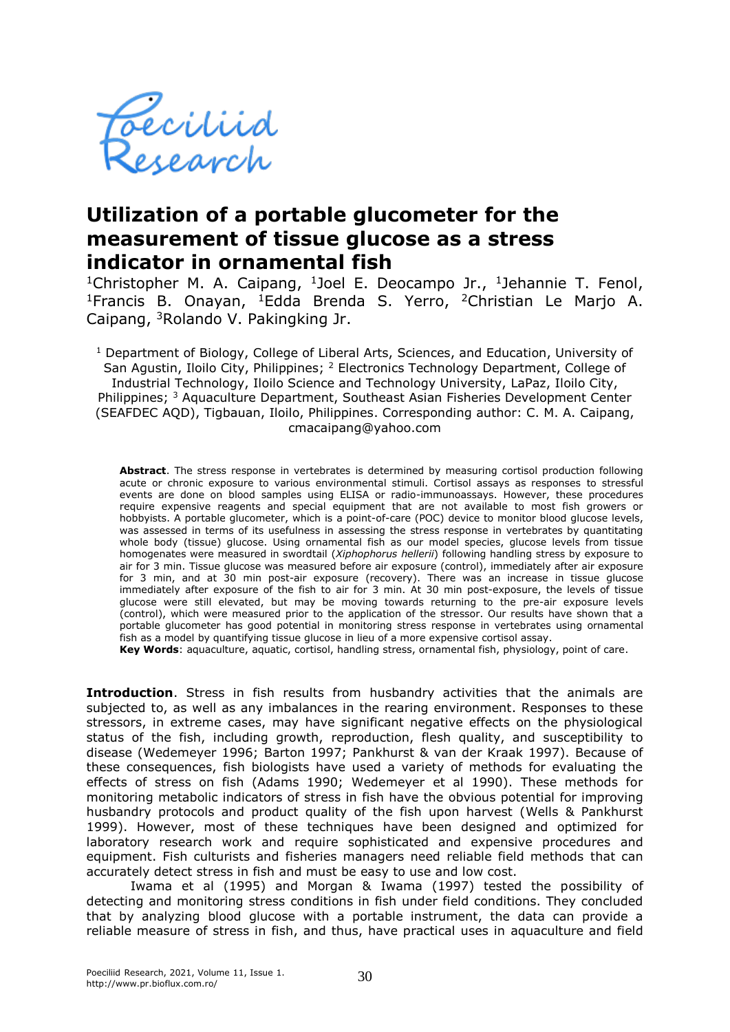

## **Utilization of a portable glucometer for the measurement of tissue glucose as a stress indicator in ornamental fish**

<sup>1</sup>Christopher M. A. Caipang, <sup>1</sup>Joel E. Deocampo Jr., <sup>1</sup>Jehannie T. Fenol, <sup>1</sup>Francis B. Onayan, <sup>1</sup>Edda Brenda S. Yerro, <sup>2</sup>Christian Le Marjo A. Caipang, <sup>3</sup>Rolando V. Pakingking Jr.

<sup>1</sup> Department of Biology, College of Liberal Arts, Sciences, and Education, University of San Agustin, Iloilo City, Philippines; <sup>2</sup> Electronics Technology Department, College of Industrial Technology, Iloilo Science and Technology University, LaPaz, Iloilo City, Philippines; <sup>3</sup> Aquaculture Department, Southeast Asian Fisheries Development Center (SEAFDEC AQD), Tigbauan, Iloilo, Philippines. Corresponding author: C. M. A. Caipang, cmacaipang@yahoo.com

**Abstract**. The stress response in vertebrates is determined by measuring cortisol production following acute or chronic exposure to various environmental stimuli. Cortisol assays as responses to stressful events are done on blood samples using ELISA or radio-immunoassays. However, these procedures require expensive reagents and special equipment that are not available to most fish growers or hobbyists. A portable glucometer, which is a point-of-care (POC) device to monitor blood glucose levels, was assessed in terms of its usefulness in assessing the stress response in vertebrates by quantitating whole body (tissue) glucose. Using ornamental fish as our model species, glucose levels from tissue homogenates were measured in swordtail (*Xiphophorus hellerii*) following handling stress by exposure to air for 3 min. Tissue glucose was measured before air exposure (control), immediately after air exposure for 3 min, and at 30 min post-air exposure (recovery). There was an increase in tissue glucose immediately after exposure of the fish to air for 3 min. At 30 min post-exposure, the levels of tissue glucose were still elevated, but may be moving towards returning to the pre-air exposure levels (control), which were measured prior to the application of the stressor. Our results have shown that a portable glucometer has good potential in monitoring stress response in vertebrates using ornamental fish as a model by quantifying tissue glucose in lieu of a more expensive cortisol assay.

**Key Words**: aquaculture, aquatic, cortisol, handling stress, ornamental fish, physiology, point of care.

**Introduction**. Stress in fish results from husbandry activities that the animals are subjected to, as well as any imbalances in the rearing environment. Responses to these stressors, in extreme cases, may have significant negative effects on the physiological status of the fish, including growth, reproduction, flesh quality, and susceptibility to disease (Wedemeyer 1996; Barton 1997; Pankhurst & van der Kraak 1997). Because of these consequences, fish biologists have used a variety of methods for evaluating the effects of stress on fish (Adams 1990; Wedemeyer et al 1990). These methods for monitoring metabolic indicators of stress in fish have the obvious potential for improving husbandry protocols and product quality of the fish upon harvest (Wells & Pankhurst 1999). However, most of these techniques have been designed and optimized for laboratory research work and require sophisticated and expensive procedures and equipment. Fish culturists and fisheries managers need reliable field methods that can accurately detect stress in fish and must be easy to use and low cost.

Iwama et al (1995) and Morgan & Iwama (1997) tested the possibility of detecting and monitoring stress conditions in fish under field conditions. They concluded that by analyzing blood glucose with a portable instrument, the data can provide a reliable measure of stress in fish, and thus, have practical uses in aquaculture and field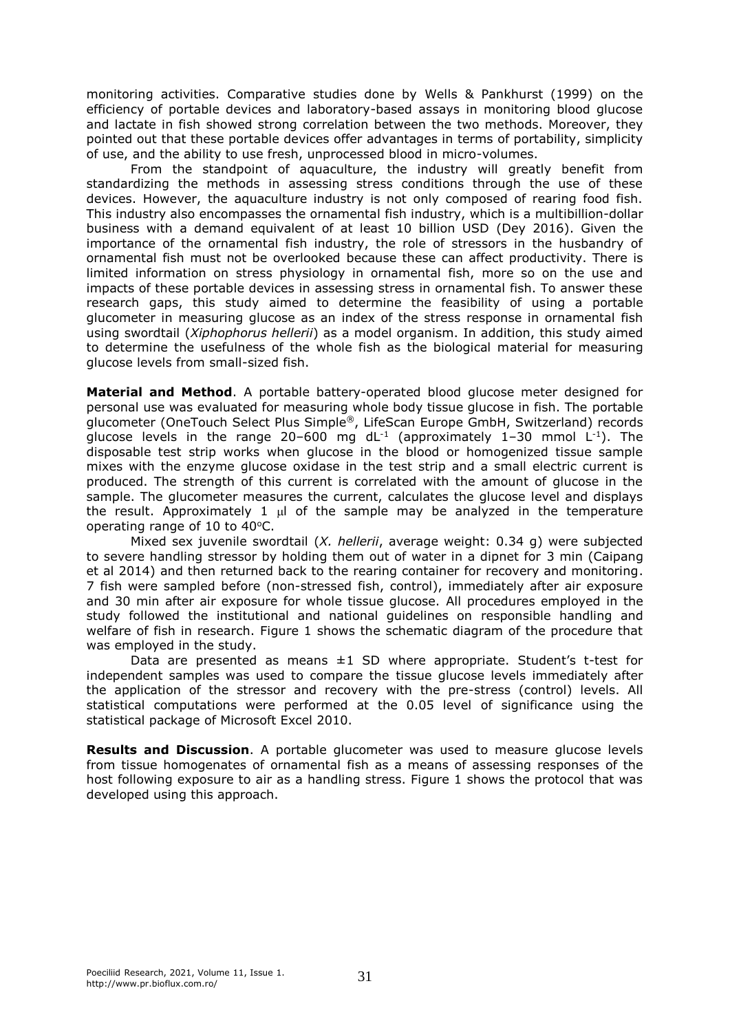monitoring activities. Comparative studies done by Wells & Pankhurst (1999) on the efficiency of portable devices and laboratory-based assays in monitoring blood glucose and lactate in fish showed strong correlation between the two methods. Moreover, they pointed out that these portable devices offer advantages in terms of portability, simplicity of use, and the ability to use fresh, unprocessed blood in micro-volumes.

From the standpoint of aquaculture, the industry will greatly benefit from standardizing the methods in assessing stress conditions through the use of these devices. However, the aquaculture industry is not only composed of rearing food fish. This industry also encompasses the ornamental fish industry, which is a multibillion-dollar business with a demand equivalent of at least 10 billion USD (Dey 2016). Given the importance of the ornamental fish industry, the role of stressors in the husbandry of ornamental fish must not be overlooked because these can affect productivity. There is limited information on stress physiology in ornamental fish, more so on the use and impacts of these portable devices in assessing stress in ornamental fish. To answer these research gaps, this study aimed to determine the feasibility of using a portable glucometer in measuring glucose as an index of the stress response in ornamental fish using swordtail (*Xiphophorus hellerii*) as a model organism. In addition, this study aimed to determine the usefulness of the whole fish as the biological material for measuring glucose levels from small-sized fish.

**Material and Method**. A portable battery-operated blood glucose meter designed for personal use was evaluated for measuring whole body tissue glucose in fish. The portable glucometer (OneTouch Select Plus Simple®, LifeScan Europe GmbH, Switzerland) records glucose levels in the range 20–600 mg dL<sup>-1</sup> (approximately 1–30 mmol L<sup>-1</sup>). The disposable test strip works when glucose in the blood or homogenized tissue sample mixes with the enzyme glucose oxidase in the test strip and a small electric current is produced. The strength of this current is correlated with the amount of glucose in the sample. The glucometer measures the current, calculates the glucose level and displays the result. Approximately 1  $\mu$  of the sample may be analyzed in the temperature operating range of 10 to  $40^{\circ}$ C.

Mixed sex juvenile swordtail (*X. hellerii*, average weight: 0.34 g) were subjected to severe handling stressor by holding them out of water in a dipnet for 3 min (Caipang et al 2014) and then returned back to the rearing container for recovery and monitoring. 7 fish were sampled before (non-stressed fish, control), immediately after air exposure and 30 min after air exposure for whole tissue glucose. All procedures employed in the study followed the institutional and national guidelines on responsible handling and welfare of fish in research. Figure 1 shows the schematic diagram of the procedure that was employed in the study.

Data are presented as means  $\pm 1$  SD where appropriate. Student's t-test for independent samples was used to compare the tissue glucose levels immediately after the application of the stressor and recovery with the pre-stress (control) levels. All statistical computations were performed at the 0.05 level of significance using the statistical package of Microsoft Excel 2010.

**Results and Discussion**. A portable glucometer was used to measure glucose levels from tissue homogenates of ornamental fish as a means of assessing responses of the host following exposure to air as a handling stress. Figure 1 shows the protocol that was developed using this approach.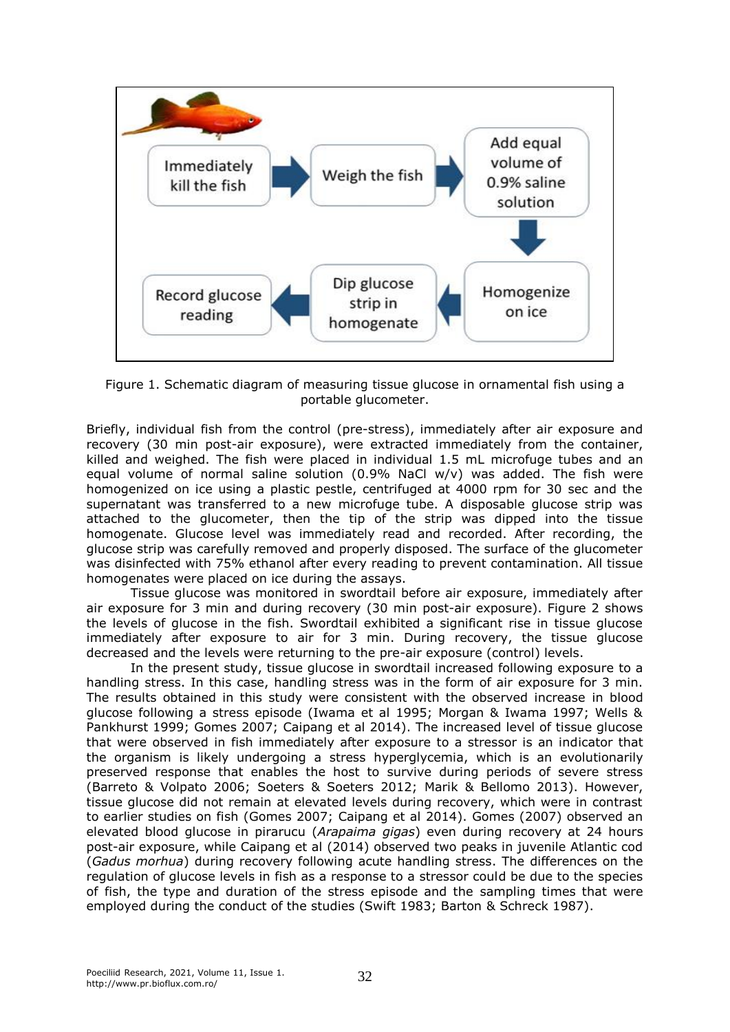

Figure 1. Schematic diagram of measuring tissue glucose in ornamental fish using a portable glucometer.

Briefly, individual fish from the control (pre-stress), immediately after air exposure and recovery (30 min post-air exposure), were extracted immediately from the container, killed and weighed. The fish were placed in individual 1.5 mL microfuge tubes and an equal volume of normal saline solution  $(0.9\%$  NaCl w/v) was added. The fish were homogenized on ice using a plastic pestle, centrifuged at 4000 rpm for 30 sec and the supernatant was transferred to a new microfuge tube. A disposable glucose strip was attached to the glucometer, then the tip of the strip was dipped into the tissue homogenate. Glucose level was immediately read and recorded. After recording, the glucose strip was carefully removed and properly disposed. The surface of the glucometer was disinfected with 75% ethanol after every reading to prevent contamination. All tissue homogenates were placed on ice during the assays.

Tissue glucose was monitored in swordtail before air exposure, immediately after air exposure for 3 min and during recovery (30 min post-air exposure). Figure 2 shows the levels of glucose in the fish. Swordtail exhibited a significant rise in tissue glucose immediately after exposure to air for 3 min. During recovery, the tissue glucose decreased and the levels were returning to the pre-air exposure (control) levels.

In the present study, tissue glucose in swordtail increased following exposure to a handling stress. In this case, handling stress was in the form of air exposure for 3 min. The results obtained in this study were consistent with the observed increase in blood glucose following a stress episode (Iwama et al 1995; Morgan & Iwama 1997; Wells & Pankhurst 1999; Gomes 2007; Caipang et al 2014). The increased level of tissue glucose that were observed in fish immediately after exposure to a stressor is an indicator that the organism is likely undergoing a stress hyperglycemia, which is an evolutionarily preserved response that enables the host to survive during periods of severe stress (Barreto & Volpato 2006; Soeters & Soeters 2012; Marik & Bellomo 2013). However, tissue glucose did not remain at elevated levels during recovery, which were in contrast to earlier studies on fish (Gomes 2007; Caipang et al 2014). Gomes (2007) observed an elevated blood glucose in pirarucu (*Arapaima gigas*) even during recovery at 24 hours post-air exposure, while Caipang et al (2014) observed two peaks in juvenile Atlantic cod (*Gadus morhua*) during recovery following acute handling stress. The differences on the regulation of glucose levels in fish as a response to a stressor could be due to the species of fish, the type and duration of the stress episode and the sampling times that were employed during the conduct of the studies (Swift 1983; Barton & Schreck 1987).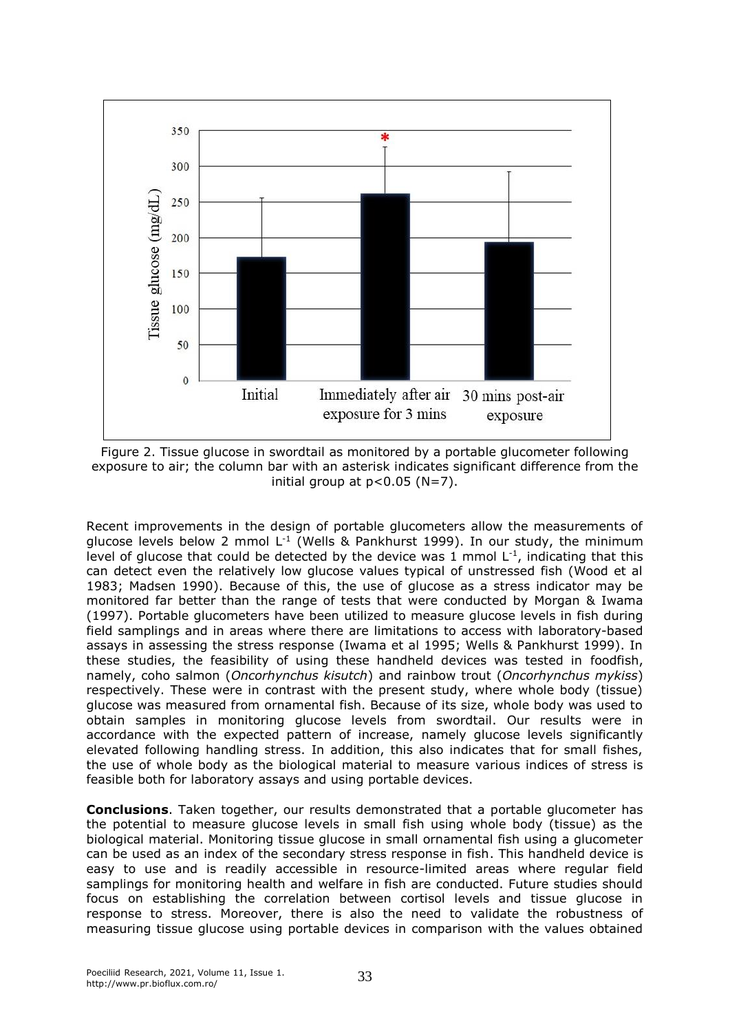

Figure 2. Tissue glucose in swordtail as monitored by a portable glucometer following exposure to air; the column bar with an asterisk indicates significant difference from the initial group at  $p < 0.05$  (N=7).

Recent improvements in the design of portable glucometers allow the measurements of glucose levels below 2 mmol L<sup>-1</sup> (Wells & Pankhurst 1999). In our study, the minimum level of glucose that could be detected by the device was 1 mmol  $L^{-1}$ , indicating that this can detect even the relatively low glucose values typical of unstressed fish (Wood et al 1983; Madsen 1990). Because of this, the use of glucose as a stress indicator may be monitored far better than the range of tests that were conducted by Morgan & Iwama (1997). Portable glucometers have been utilized to measure glucose levels in fish during field samplings and in areas where there are limitations to access with laboratory-based assays in assessing the stress response (Iwama et al 1995; Wells & Pankhurst 1999). In these studies, the feasibility of using these handheld devices was tested in foodfish, namely, coho salmon (*Oncorhynchus kisutch*) and rainbow trout (*Oncorhynchus mykiss*) respectively. These were in contrast with the present study, where whole body (tissue) glucose was measured from ornamental fish. Because of its size, whole body was used to obtain samples in monitoring glucose levels from swordtail. Our results were in accordance with the expected pattern of increase, namely glucose levels significantly elevated following handling stress. In addition, this also indicates that for small fishes, the use of whole body as the biological material to measure various indices of stress is feasible both for laboratory assays and using portable devices.

**Conclusions**. Taken together, our results demonstrated that a portable glucometer has the potential to measure glucose levels in small fish using whole body (tissue) as the biological material. Monitoring tissue glucose in small ornamental fish using a glucometer can be used as an index of the secondary stress response in fish. This handheld device is easy to use and is readily accessible in resource-limited areas where regular field samplings for monitoring health and welfare in fish are conducted. Future studies should focus on establishing the correlation between cortisol levels and tissue glucose in response to stress. Moreover, there is also the need to validate the robustness of measuring tissue glucose using portable devices in comparison with the values obtained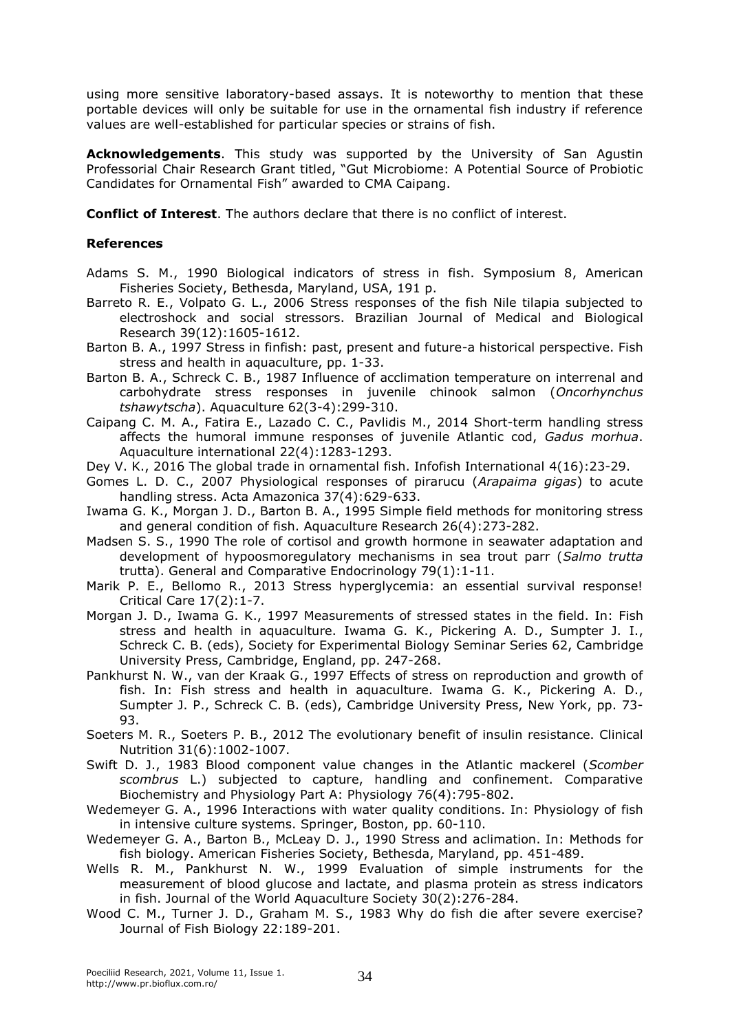using more sensitive laboratory-based assays. It is noteworthy to mention that these portable devices will only be suitable for use in the ornamental fish industry if reference values are well-established for particular species or strains of fish.

**Acknowledgements**. This study was supported by the University of San Agustin Professorial Chair Research Grant titled, "Gut Microbiome: A Potential Source of Probiotic Candidates for Ornamental Fish" awarded to CMA Caipang.

**Conflict of Interest**. The authors declare that there is no conflict of interest.

## **References**

- Adams S. M., 1990 Biological indicators of stress in fish. Symposium 8, American Fisheries Society, Bethesda, Maryland, USA, 191 p.
- Barreto R. E., Volpato G. L., 2006 Stress responses of the fish Nile tilapia subjected to electroshock and social stressors. Brazilian Journal of Medical and Biological Research 39(12):1605-1612.
- Barton B. A., 1997 Stress in finfish: past, present and future-a historical perspective. Fish stress and health in aquaculture, pp. 1-33.
- Barton B. A., Schreck C. B., 1987 Influence of acclimation temperature on interrenal and carbohydrate stress responses in juvenile chinook salmon (*Oncorhynchus tshawytscha*). Aquaculture 62(3-4):299-310.
- Caipang C. M. A., Fatira E., Lazado C. C., Pavlidis M., 2014 Short-term handling stress affects the humoral immune responses of juvenile Atlantic cod, *Gadus morhua*. Aquaculture international 22(4):1283-1293.
- Dey V. K., 2016 The global trade in ornamental fish. Infofish International 4(16):23-29.
- Gomes L. D. C., 2007 Physiological responses of pirarucu (*Arapaima gigas*) to acute handling stress. Acta Amazonica 37(4):629-633.
- Iwama G. K., Morgan J. D., Barton B. A., 1995 Simple field methods for monitoring stress and general condition of fish. Aquaculture Research 26(4):273-282.
- Madsen S. S., 1990 The role of cortisol and growth hormone in seawater adaptation and development of hypoosmoregulatory mechanisms in sea trout parr (*Salmo trutta* trutta). General and Comparative Endocrinology 79(1):1-11.
- Marik P. E., Bellomo R., 2013 Stress hyperglycemia: an essential survival response! Critical Care 17(2):1-7.
- Morgan J. D., Iwama G. K., 1997 Measurements of stressed states in the field. In: Fish stress and health in aquaculture. Iwama G. K., Pickering A. D., Sumpter J. I., Schreck C. B. (eds), Society for Experimental Biology Seminar Series 62, Cambridge University Press, Cambridge, England, pp. 247-268.
- Pankhurst N. W., van der Kraak G., 1997 Effects of stress on reproduction and growth of fish. In: Fish stress and health in aquaculture. Iwama G. K., Pickering A. D., Sumpter J. P., Schreck C. B. (eds), Cambridge University Press, New York, pp. 73- 93.
- Soeters M. R., Soeters P. B., 2012 The evolutionary benefit of insulin resistance. Clinical Nutrition 31(6):1002-1007.
- Swift D. J., 1983 Blood component value changes in the Atlantic mackerel (*Scomber scombrus* L.) subjected to capture, handling and confinement. Comparative Biochemistry and Physiology Part A: Physiology 76(4):795-802.
- Wedemeyer G. A., 1996 Interactions with water quality conditions. In: Physiology of fish in intensive culture systems. Springer, Boston, pp. 60-110.
- Wedemeyer G. A., Barton B., McLeay D. J., 1990 Stress and aclimation. In: Methods for fish biology. American Fisheries Society, Bethesda, Maryland, pp. 451-489.
- Wells R. M., Pankhurst N. W., 1999 Evaluation of simple instruments for the measurement of blood glucose and lactate, and plasma protein as stress indicators in fish. Journal of the World Aquaculture Society 30(2):276-284.
- Wood C. M., Turner J. D., Graham M. S., 1983 Why do fish die after severe exercise? Journal of Fish Biology 22:189-201.